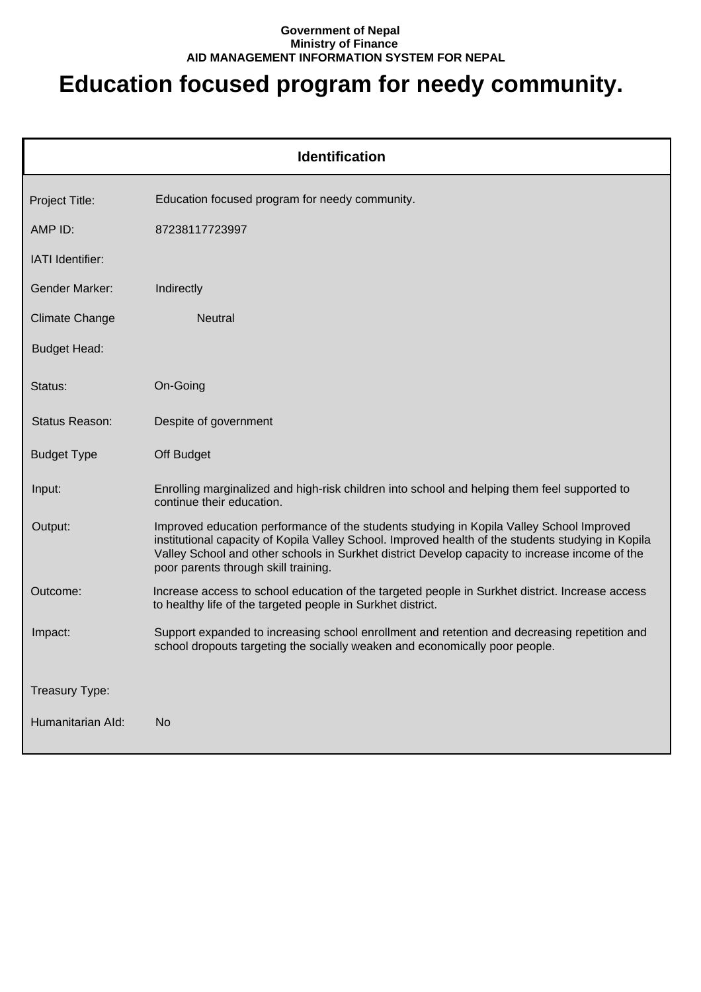## **Government of Nepal Ministry of Finance AID MANAGEMENT INFORMATION SYSTEM FOR NEPAL**

## **Education focused program for needy community.**

| <b>Identification</b> |                                                                                                                                                                                                                                                                                                                                          |  |
|-----------------------|------------------------------------------------------------------------------------------------------------------------------------------------------------------------------------------------------------------------------------------------------------------------------------------------------------------------------------------|--|
| Project Title:        | Education focused program for needy community.                                                                                                                                                                                                                                                                                           |  |
| AMP ID:               | 87238117723997                                                                                                                                                                                                                                                                                                                           |  |
| IATI Identifier:      |                                                                                                                                                                                                                                                                                                                                          |  |
| <b>Gender Marker:</b> | Indirectly                                                                                                                                                                                                                                                                                                                               |  |
| <b>Climate Change</b> | <b>Neutral</b>                                                                                                                                                                                                                                                                                                                           |  |
| <b>Budget Head:</b>   |                                                                                                                                                                                                                                                                                                                                          |  |
| Status:               | On-Going                                                                                                                                                                                                                                                                                                                                 |  |
| Status Reason:        | Despite of government                                                                                                                                                                                                                                                                                                                    |  |
| <b>Budget Type</b>    | Off Budget                                                                                                                                                                                                                                                                                                                               |  |
| Input:                | Enrolling marginalized and high-risk children into school and helping them feel supported to<br>continue their education.                                                                                                                                                                                                                |  |
| Output:               | Improved education performance of the students studying in Kopila Valley School Improved<br>institutional capacity of Kopila Valley School. Improved health of the students studying in Kopila<br>Valley School and other schools in Surkhet district Develop capacity to increase income of the<br>poor parents through skill training. |  |
| Outcome:              | Increase access to school education of the targeted people in Surkhet district. Increase access<br>to healthy life of the targeted people in Surkhet district.                                                                                                                                                                           |  |
| Impact:               | Support expanded to increasing school enrollment and retention and decreasing repetition and<br>school dropouts targeting the socially weaken and economically poor people.                                                                                                                                                              |  |
| Treasury Type:        |                                                                                                                                                                                                                                                                                                                                          |  |
| Humanitarian Ald:     | No                                                                                                                                                                                                                                                                                                                                       |  |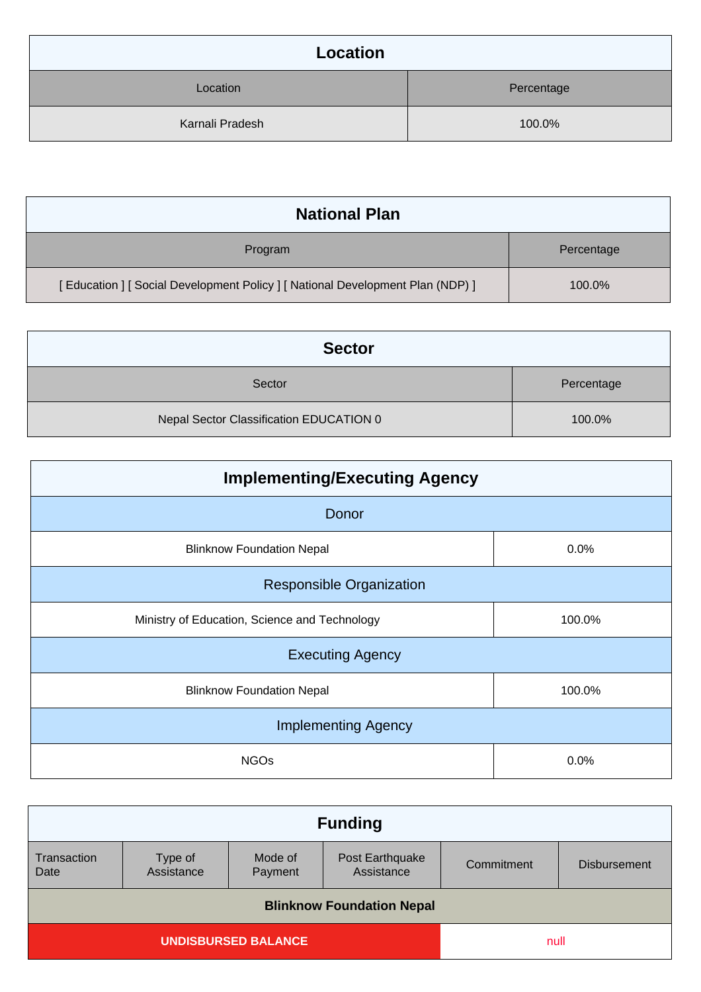| Location        |            |
|-----------------|------------|
| Location        | Percentage |
| Karnali Pradesh | 100.0%     |

| <b>National Plan</b>                                                         |            |
|------------------------------------------------------------------------------|------------|
| Program                                                                      | Percentage |
| [Education ] [Social Development Policy ] [National Development Plan (NDP) ] | 100.0%     |

| <b>Sector</b>                           |            |
|-----------------------------------------|------------|
| Sector                                  | Percentage |
| Nepal Sector Classification EDUCATION 0 | 100.0%     |

| <b>Implementing/Executing Agency</b>          |        |  |
|-----------------------------------------------|--------|--|
| Donor                                         |        |  |
| <b>Blinknow Foundation Nepal</b>              | 0.0%   |  |
| <b>Responsible Organization</b>               |        |  |
| Ministry of Education, Science and Technology | 100.0% |  |
| <b>Executing Agency</b>                       |        |  |
| <b>Blinknow Foundation Nepal</b>              | 100.0% |  |
| <b>Implementing Agency</b>                    |        |  |
| <b>NGOs</b>                                   | 0.0%   |  |

| <b>Funding</b>                   |                       |                    |                               |            |                     |
|----------------------------------|-----------------------|--------------------|-------------------------------|------------|---------------------|
| Transaction<br>Date              | Type of<br>Assistance | Mode of<br>Payment | Post Earthquake<br>Assistance | Commitment | <b>Disbursement</b> |
| <b>Blinknow Foundation Nepal</b> |                       |                    |                               |            |                     |
| <b>UNDISBURSED BALANCE</b>       |                       | null               |                               |            |                     |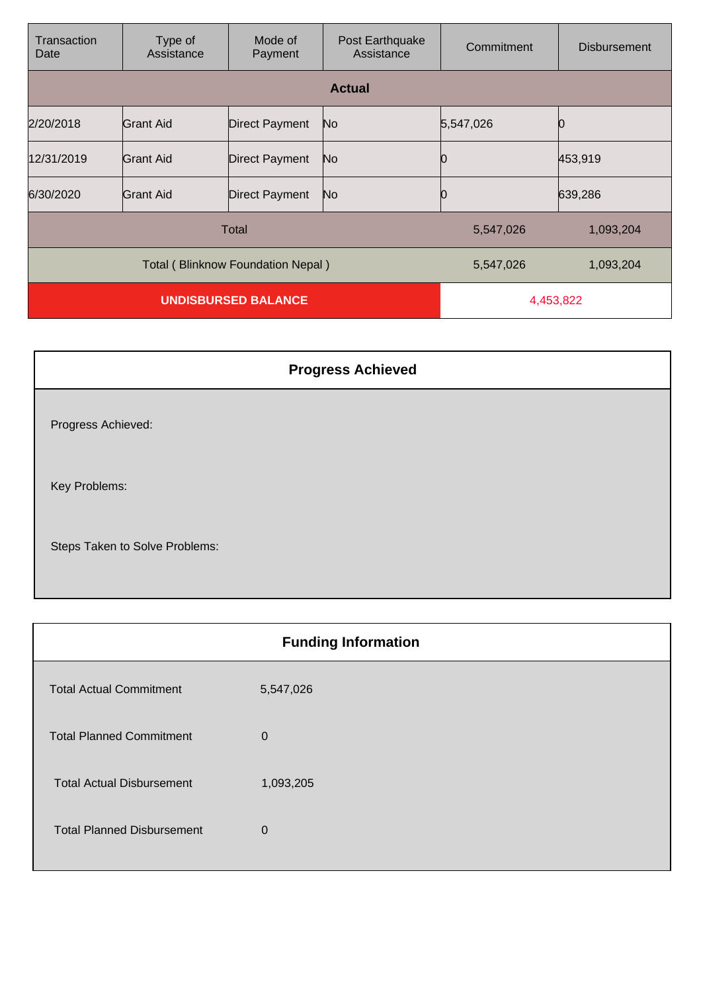| Transaction<br>Date               | Type of<br>Assistance | Mode of<br>Payment    | Post Earthquake<br>Assistance | Commitment | <b>Disbursement</b> |
|-----------------------------------|-----------------------|-----------------------|-------------------------------|------------|---------------------|
|                                   |                       |                       | <b>Actual</b>                 |            |                     |
| 2/20/2018                         | Grant Aid             | <b>Direct Payment</b> | No                            | 5,547,026  |                     |
| 12/31/2019                        | Grant Aid             | <b>Direct Payment</b> | No                            |            | 453,919             |
| 6/30/2020                         | Grant Aid             | <b>Direct Payment</b> | No                            |            | 639,286             |
| Total                             |                       |                       | 5,547,026                     | 1,093,204  |                     |
| Total (Blinknow Foundation Nepal) |                       |                       | 5,547,026                     | 1,093,204  |                     |
| <b>UNDISBURSED BALANCE</b>        |                       |                       | 4,453,822                     |            |                     |

| <b>Progress Achieved</b>       |
|--------------------------------|
| Progress Achieved:             |
| Key Problems:                  |
| Steps Taken to Solve Problems: |

| <b>Funding Information</b>        |              |  |
|-----------------------------------|--------------|--|
| <b>Total Actual Commitment</b>    | 5,547,026    |  |
| <b>Total Planned Commitment</b>   | $\mathbf 0$  |  |
| <b>Total Actual Disbursement</b>  | 1,093,205    |  |
| <b>Total Planned Disbursement</b> | $\mathbf{0}$ |  |
|                                   |              |  |